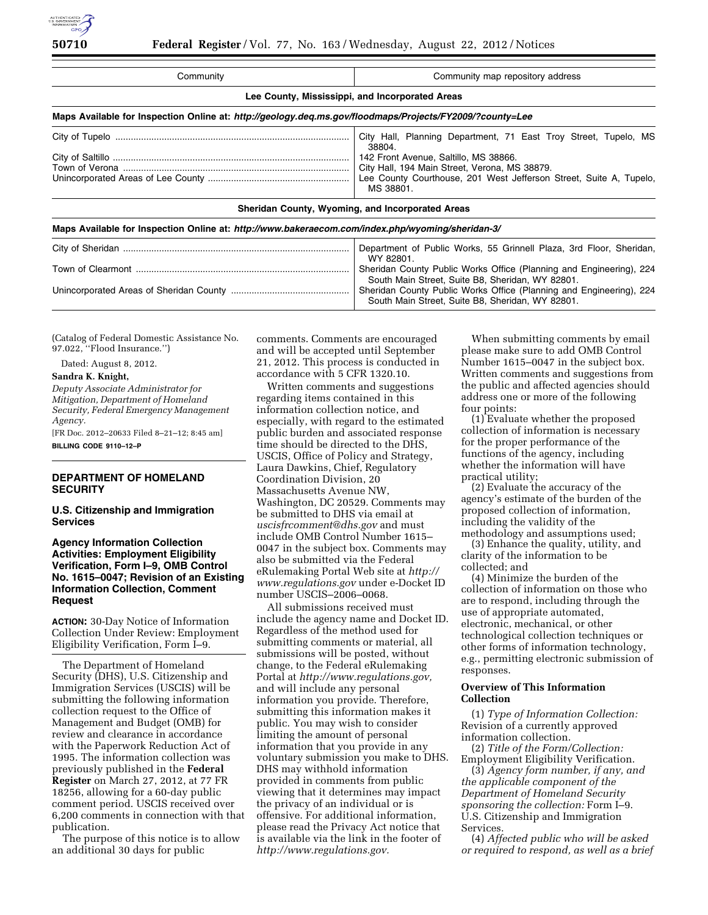| Community                                                                                                                                                   | Community map repository address                 |  |
|-------------------------------------------------------------------------------------------------------------------------------------------------------------|--------------------------------------------------|--|
| Lee County, Mississippi, and Incorporated Areas<br>Maps Available for Inspection Online at: http://geology.deg.ms.gov/floodmaps/Projects/FY2009/?county=Lee |                                                  |  |
|                                                                                                                                                             |                                                  |  |
|                                                                                                                                                             | Sheridan County, Wyoming, and Incorporated Areas |  |
| Maps Available for Inspection Online at: http://www.bakeraecom.com/index.php/wyoming/sheridan-3/                                                            |                                                  |  |

| _ _ _ _ _ _ |  |
|-------------|--|

| Department of Public Works, 55 Grinnell Plaza, 3rd Floor, Sheridan,              |
|----------------------------------------------------------------------------------|
| WY 82801.<br>Sheridan County Public Works Office (Planning and Engineering), 224 |
| South Main Street, Suite B8, Sheridan, WY 82801.                                 |
| Sheridan County Public Works Office (Planning and Engineering), 224              |
| South Main Street, Suite B8, Sheridan, WY 82801.                                 |

(Catalog of Federal Domestic Assistance No. 97.022, ''Flood Insurance.'')

Dated: August 8, 2012.

#### **Sandra K. Knight,**

*Deputy Associate Administrator for Mitigation, Department of Homeland Security, Federal Emergency Management Agency.* 

[FR Doc. 2012–20633 Filed 8–21–12; 8:45 am] **BILLING CODE 9110–12–P** 

## **DEPARTMENT OF HOMELAND SECURITY**

**U.S. Citizenship and Immigration Services** 

## **Agency Information Collection Activities: Employment Eligibility Verification, Form I–9, OMB Control No. 1615–0047; Revision of an Existing Information Collection, Comment Request**

**ACTION:** 30-Day Notice of Information Collection Under Review: Employment Eligibility Verification, Form I–9.

The Department of Homeland Security (DHS), U.S. Citizenship and Immigration Services (USCIS) will be submitting the following information collection request to the Office of Management and Budget (OMB) for review and clearance in accordance with the Paperwork Reduction Act of 1995. The information collection was previously published in the **Federal Register** on March 27, 2012, at 77 FR 18256, allowing for a 60-day public comment period. USCIS received over 6,200 comments in connection with that publication.

The purpose of this notice is to allow an additional 30 days for public

comments. Comments are encouraged and will be accepted until September 21, 2012. This process is conducted in accordance with 5 CFR 1320.10.

Written comments and suggestions regarding items contained in this information collection notice, and especially, with regard to the estimated public burden and associated response time should be directed to the DHS, USCIS, Office of Policy and Strategy, Laura Dawkins, Chief, Regulatory Coordination Division, 20 Massachusetts Avenue NW, Washington, DC 20529. Comments may be submitted to DHS via email at *[uscisfrcomment@dhs.gov](mailto:uscisfrcomment@dhs.gov)* and must include OMB Control Number 1615– 0047 in the subject box. Comments may also be submitted via the Federal eRulemaking Portal Web site at *[http://](http://www.regulations.gov)  [www.regulations.gov](http://www.regulations.gov)* under e-Docket ID number USCIS–2006–0068.

All submissions received must include the agency name and Docket ID. Regardless of the method used for submitting comments or material, all submissions will be posted, without change, to the Federal eRulemaking Portal at *[http://www.regulations.gov,](http://www.regulations.gov)*  and will include any personal information you provide. Therefore, submitting this information makes it public. You may wish to consider limiting the amount of personal information that you provide in any voluntary submission you make to DHS. DHS may withhold information provided in comments from public viewing that it determines may impact the privacy of an individual or is offensive. For additional information, please read the Privacy Act notice that is available via the link in the footer of *[http://www.regulations.gov.](http://www.regulations.gov)* 

When submitting comments by email please make sure to add OMB Control Number 1615–0047 in the subject box. Written comments and suggestions from the public and affected agencies should address one or more of the following four points:

(1) Evaluate whether the proposed collection of information is necessary for the proper performance of the functions of the agency, including whether the information will have practical utility;

(2) Evaluate the accuracy of the agency's estimate of the burden of the proposed collection of information, including the validity of the methodology and assumptions used;

(3) Enhance the quality, utility, and clarity of the information to be collected; and

(4) Minimize the burden of the collection of information on those who are to respond, including through the use of appropriate automated, electronic, mechanical, or other technological collection techniques or other forms of information technology, e.g., permitting electronic submission of responses.

# **Overview of This Information Collection**

(1) *Type of Information Collection:*  Revision of a currently approved information collection.

(2) *Title of the Form/Collection:*  Employment Eligibility Verification.

(3) *Agency form number, if any, and the applicable component of the Department of Homeland Security sponsoring the collection:* Form I–9. U.S. Citizenship and Immigration Services.

(4) *Affected public who will be asked or required to respond, as well as a brief*